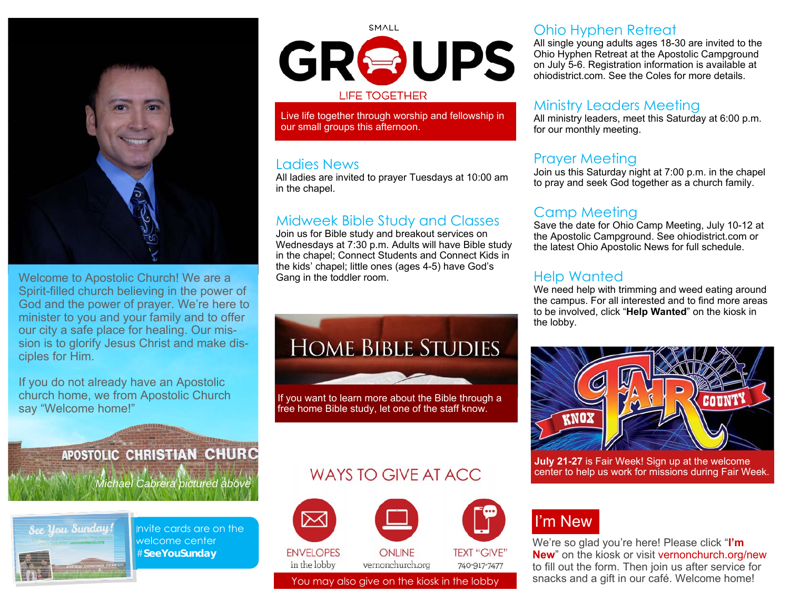

Welcome to Apostolic Church! We are a Spirit-filled church believing in the power of God and the power of prayer. We're here to minister to you and your family and to offer our city a safe place for healing. Our mission is to glorify Jesus Christ and make disciples for Him.

If you do not already have an Apostolic church home, we from Apostolic Church say "Welcome home!"

> **APOSTOLIC CHRISTIAN CHURC** *Michael Cabrera pictured above*



Invite cards are on the welcome center #**SeeYouSunday** 

# SMALL GROUPS **LIFE TOGETHER**

Live life together through worship and fellowship in our small groups this afternoon.

#### Ladies News

All ladies are invited to prayer Tuesdays at 10:00 am in the chapel.

#### Midweek Bible Study and Classes

Join us for Bible study and breakout services on Wednesdays at 7:30 p.m. Adults will have Bible study in the chapel; Connect Students and Connect Kids in the kids' chapel; little ones (ages 4-5) have God's Gang in the toddler room.

# **HOME BIBLE STUDIES**

If you want to learn more about the Bible through a free home Bible study, let one of the staff know.

### Ohio Hyphen Retreat

All single young adults ages 18-30 are invited to the Ohio Hyphen Retreat at the Apostolic Campground on July 5-6. Registration information is available at ohiodistrict.com. See the Coles for more details.

#### Ministry Leaders Meeting

All ministry leaders, meet this Saturday at 6:00 p.m. for our monthly meeting.

### Prayer Meeting

Join us this Saturday night at 7:00 p.m. in the chapel to pray and seek God together as a church family.

## Camp Meeting

Save the date for Ohio Camp Meeting, July 10-12 at the Apostolic Campground. See ohiodistrict.com or the latest Ohio Apostolic News for full schedule.

### Help Wanted

We need help with trimming and weed eating around the campus. For all interested and to find more areas to be involved, click "**Help Wanted**" on the kiosk in the lobby.



**July 21-27** is Fair Week! Sign up at the welcome center to help us work for missions during Fair Week.

## WAYS TO GIVE AT ACC.



## I'm New

We're so glad you're here! Please click "**I'm New**" on the kiosk or visit vernonchurch.org/new to fill out the form. Then join us after service for You may also give on the kiosk in the lobby snacks and a gift in our café. Welcome home!

**ENVELOPES** in the lobby

vernonchurch.org